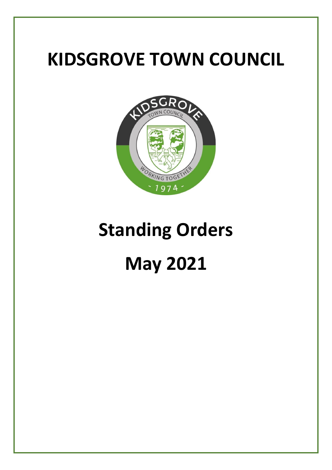## **KIDSGROVE TOWN COUNCIL**



# **Standing Orders**

## **May 2021**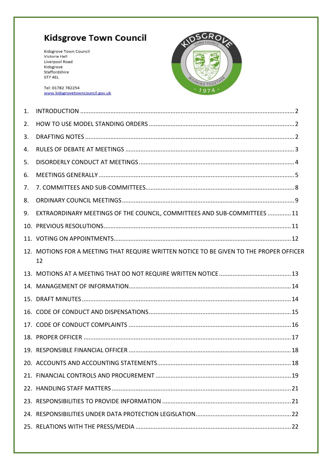### **Kidsgrove Town Council**

Kidsgrove Town Council Victoria Hall Liverpool Road Kidsgrove Staffordshire ST7 4EL

Tel: 01782 782254 www.kidsgrovetowncouncil.gov.uk



| $\mathbf{1}$ . |                                                                                               |  |
|----------------|-----------------------------------------------------------------------------------------------|--|
| 2.             |                                                                                               |  |
| 3.             |                                                                                               |  |
| 4.             |                                                                                               |  |
| 5.             |                                                                                               |  |
| 6.             |                                                                                               |  |
| 7.             |                                                                                               |  |
| 8.             |                                                                                               |  |
| 9.             | EXTRAORDINARY MEETINGS OF THE COUNCIL, COMMITTEES AND SUB-COMMITTEES 11                       |  |
|                |                                                                                               |  |
|                |                                                                                               |  |
|                | 12. MOTIONS FOR A MEETING THAT REQUIRE WRITTEN NOTICE TO BE GIVEN TO THE PROPER OFFICER<br>12 |  |
|                |                                                                                               |  |
|                |                                                                                               |  |
|                |                                                                                               |  |
|                |                                                                                               |  |
|                |                                                                                               |  |
|                |                                                                                               |  |
|                |                                                                                               |  |
|                |                                                                                               |  |
|                |                                                                                               |  |
|                |                                                                                               |  |
|                |                                                                                               |  |
|                |                                                                                               |  |
|                |                                                                                               |  |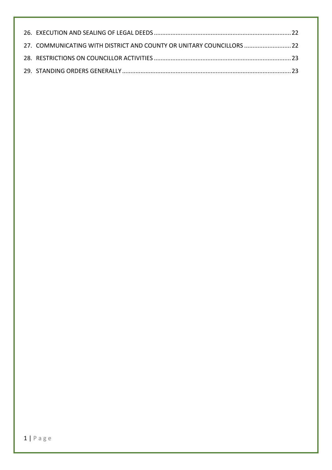| 27. COMMUNICATING WITH DISTRICT AND COUNTY OR UNITARY COUNCILLORS  22 |  |
|-----------------------------------------------------------------------|--|
|                                                                       |  |
|                                                                       |  |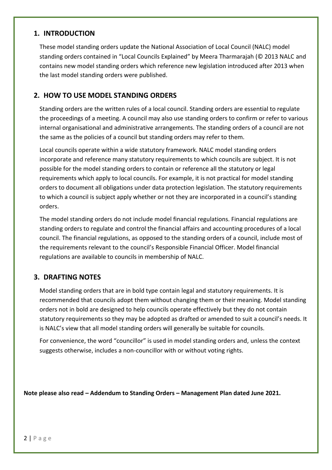#### <span id="page-3-0"></span>**1. INTRODUCTION**

These model standing orders update the National Association of Local Council (NALC) model standing orders contained in "Local Councils Explained" by Meera Tharmarajah (© 2013 NALC and contains new model standing orders which reference new legislation introduced after 2013 when the last model standing orders were published.

#### <span id="page-3-1"></span>**2. HOW TO USE MODEL STANDING ORDERS**

Standing orders are the written rules of a local council. Standing orders are essential to regulate the proceedings of a meeting. A council may also use standing orders to confirm or refer to various internal organisational and administrative arrangements. The standing orders of a council are not the same as the policies of a council but standing orders may refer to them.

Local councils operate within a wide statutory framework. NALC model standing orders incorporate and reference many statutory requirements to which councils are subject. It is not possible for the model standing orders to contain or reference all the statutory or legal requirements which apply to local councils. For example, it is not practical for model standing orders to document all obligations under data protection legislation. The statutory requirements to which a council is subject apply whether or not they are incorporated in a council's standing orders.

The model standing orders do not include model financial regulations. Financial regulations are standing orders to regulate and control the financial affairs and accounting procedures of a local council. The financial regulations, as opposed to the standing orders of a council, include most of the requirements relevant to the council's Responsible Financial Officer. Model financial regulations are available to councils in membership of NALC.

#### <span id="page-3-2"></span>**3. DRAFTING NOTES**

Model standing orders that are in bold type contain legal and statutory requirements. It is recommended that councils adopt them without changing them or their meaning. Model standing orders not in bold are designed to help councils operate effectively but they do not contain statutory requirements so they may be adopted as drafted or amended to suit a council's needs. It is NALC's view that all model standing orders will generally be suitable for councils.

For convenience, the word "councillor" is used in model standing orders and, unless the context suggests otherwise, includes a non-councillor with or without voting rights.

**Note please also read – Addendum to Standing Orders – Management Plan dated June 2021.**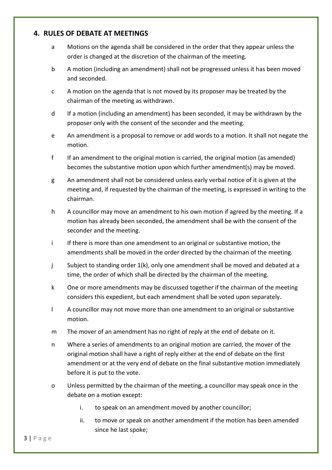#### <span id="page-4-0"></span>**4. RULES OF DEBATE AT MEETINGS**

- a Motions on the agenda shall be considered in the order that they appear unless the order is changed at the discretion of the chairman of the meeting.
- b A motion (including an amendment) shall not be progressed unless it has been moved and seconded.
- c A motion on the agenda that is not moved by its proposer may be treated by the chairman of the meeting as withdrawn.
- d If a motion (including an amendment) has been seconded, it may be withdrawn by the proposer only with the consent of the seconder and the meeting.
- e An amendment is a proposal to remove or add words to a motion. It shall not negate the motion.
- f If an amendment to the original motion is carried, the original motion (as amended) becomes the substantive motion upon which further amendment(s) may be moved.
- g An amendment shall not be considered unless early verbal notice of it is given at the meeting and, if requested by the chairman of the meeting, is expressed in writing to the chairman.
- h A councillor may move an amendment to his own motion if agreed by the meeting. If a motion has already been seconded, the amendment shall be with the consent of the seconder and the meeting.
- i If there is more than one amendment to an original or substantive motion, the amendments shall be moved in the order directed by the chairman of the meeting.
- j Subject to standing order 1(k), only one amendment shall be moved and debated at a time, the order of which shall be directed by the chairman of the meeting.
- k One or more amendments may be discussed together if the chairman of the meeting considers this expedient, but each amendment shall be voted upon separately.
- l A councillor may not move more than one amendment to an original or substantive motion.
- m The mover of an amendment has no right of reply at the end of debate on it.
- n Where a series of amendments to an original motion are carried, the mover of the original motion shall have a right of reply either at the end of debate on the first amendment or at the very end of debate on the final substantive motion immediately before it is put to the vote.
- o Unless permitted by the chairman of the meeting, a councillor may speak once in the debate on a motion except:
	- i. to speak on an amendment moved by another councillor;
	- ii. to move or speak on another amendment if the motion has been amended since he last spoke;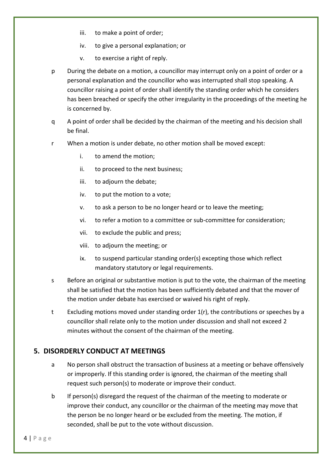- iii. to make a point of order;
- iv. to give a personal explanation; or
- v. to exercise a right of reply.
- p During the debate on a motion, a councillor may interrupt only on a point of order or a personal explanation and the councillor who was interrupted shall stop speaking. A councillor raising a point of order shall identify the standing order which he considers has been breached or specify the other irregularity in the proceedings of the meeting he is concerned by.
- q A point of order shall be decided by the chairman of the meeting and his decision shall be final.
- r When a motion is under debate, no other motion shall be moved except:
	- i. to amend the motion;
	- ii. to proceed to the next business;
	- iii. to adjourn the debate;
	- iv. to put the motion to a vote;
	- v. to ask a person to be no longer heard or to leave the meeting;
	- vi. to refer a motion to a committee or sub-committee for consideration;
	- vii. to exclude the public and press;
	- viii. to adjourn the meeting; or
	- ix. to suspend particular standing order(s) excepting those which reflect mandatory statutory or legal requirements.
- s Before an original or substantive motion is put to the vote, the chairman of the meeting shall be satisfied that the motion has been sufficiently debated and that the mover of the motion under debate has exercised or waived his right of reply.
- t Excluding motions moved under standing order 1(r), the contributions or speeches by a councillor shall relate only to the motion under discussion and shall not exceed 2 minutes without the consent of the chairman of the meeting.

#### <span id="page-5-0"></span>**5. DISORDERLY CONDUCT AT MEETINGS**

- a No person shall obstruct the transaction of business at a meeting or behave offensively or improperly. If this standing order is ignored, the chairman of the meeting shall request such person(s) to moderate or improve their conduct.
- b If person(s) disregard the request of the chairman of the meeting to moderate or improve their conduct, any councillor or the chairman of the meeting may move that the person be no longer heard or be excluded from the meeting. The motion, if seconded, shall be put to the vote without discussion.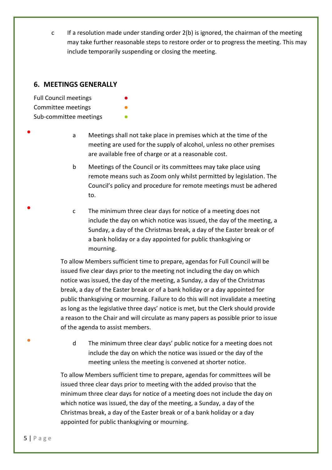c If a resolution made under standing order 2(b) is ignored, the chairman of the meeting may take further reasonable steps to restore order or to progress the meeting. This may include temporarily suspending or closing the meeting.

#### <span id="page-6-0"></span>**6. MEETINGS GENERALLY**

Full Council meetings Committee meetings Sub-committee meetings

●

●

●

a Meetings shall not take place in premises which at the time of the meeting are used for the supply of alcohol, unless no other premises are available free of charge or at a reasonable cost.

- b Meetings of the Council or its committees may take place using remote means such as Zoom only whilst permitted by legislation. The Council's policy and procedure for remote meetings must be adhered to.
- c The minimum three clear days for notice of a meeting does not include the day on which notice was issued, the day of the meeting, a Sunday, a day of the Christmas break, a day of the Easter break or of a bank holiday or a day appointed for public thanksgiving or mourning.

To allow Members sufficient time to prepare, agendas for Full Council will be issued five clear days prior to the meeting not including the day on which notice was issued, the day of the meeting, a Sunday, a day of the Christmas break, a day of the Easter break or of a bank holiday or a day appointed for public thanksgiving or mourning. Failure to do this will not invalidate a meeting as long as the legislative three days' notice is met, but the Clerk should provide a reason to the Chair and will circulate as many papers as possible prior to issue of the agenda to assist members.

d The minimum three clear days' public notice for a meeting does not include the day on which the notice was issued or the day of the meeting unless the meeting is convened at shorter notice.

To allow Members sufficient time to prepare, agendas for committees will be issued three clear days prior to meeting with the added proviso that the minimum three clear days for notice of a meeting does not include the day on which notice was issued, the day of the meeting, a Sunday, a day of the Christmas break, a day of the Easter break or of a bank holiday or a day appointed for public thanksgiving or mourning.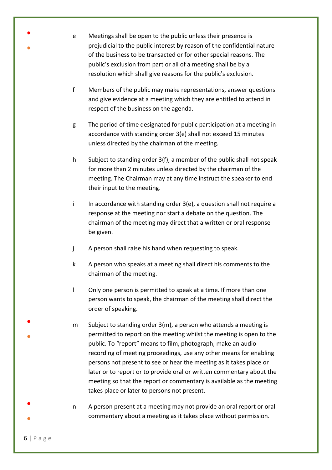| $\bullet$<br>$\bullet$ | $\mathbf e$  | Meetings shall be open to the public unless their presence is<br>prejudicial to the public interest by reason of the confidential nature<br>of the business to be transacted or for other special reasons. The<br>public's exclusion from part or all of a meeting shall be by a<br>resolution which shall give reasons for the public's exclusion.                                                                                                                                                                                                     |
|------------------------|--------------|---------------------------------------------------------------------------------------------------------------------------------------------------------------------------------------------------------------------------------------------------------------------------------------------------------------------------------------------------------------------------------------------------------------------------------------------------------------------------------------------------------------------------------------------------------|
|                        | f            | Members of the public may make representations, answer questions<br>and give evidence at a meeting which they are entitled to attend in<br>respect of the business on the agenda.                                                                                                                                                                                                                                                                                                                                                                       |
|                        | g            | The period of time designated for public participation at a meeting in<br>accordance with standing order 3(e) shall not exceed 15 minutes<br>unless directed by the chairman of the meeting.                                                                                                                                                                                                                                                                                                                                                            |
|                        | h            | Subject to standing order 3(f), a member of the public shall not speak<br>for more than 2 minutes unless directed by the chairman of the<br>meeting. The Chairman may at any time instruct the speaker to end<br>their input to the meeting.                                                                                                                                                                                                                                                                                                            |
|                        | j.           | In accordance with standing order $3(e)$ , a question shall not require a<br>response at the meeting nor start a debate on the question. The<br>chairman of the meeting may direct that a written or oral response<br>be given.                                                                                                                                                                                                                                                                                                                         |
|                        | j            | A person shall raise his hand when requesting to speak.                                                                                                                                                                                                                                                                                                                                                                                                                                                                                                 |
|                        | k            | A person who speaks at a meeting shall direct his comments to the<br>chairman of the meeting.                                                                                                                                                                                                                                                                                                                                                                                                                                                           |
|                        | $\mathbf{I}$ | Only one person is permitted to speak at a time. If more than one<br>person wants to speak, the chairman of the meeting shall direct the<br>order of speaking.                                                                                                                                                                                                                                                                                                                                                                                          |
|                        | m            | Subject to standing order 3(m), a person who attends a meeting is<br>permitted to report on the meeting whilst the meeting is open to the<br>public. To "report" means to film, photograph, make an audio<br>recording of meeting proceedings, use any other means for enabling<br>persons not present to see or hear the meeting as it takes place or<br>later or to report or to provide oral or written commentary about the<br>meeting so that the report or commentary is available as the meeting<br>takes place or later to persons not present. |
|                        | n            | A person present at a meeting may not provide an oral report or oral<br>commentary about a meeting as it takes place without permission.                                                                                                                                                                                                                                                                                                                                                                                                                |

6 | P a g e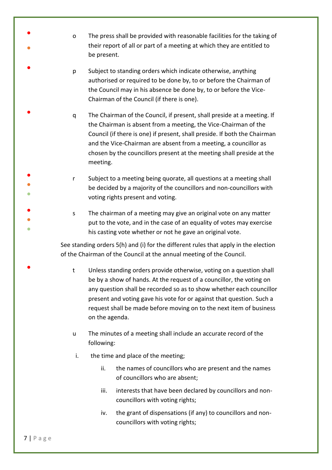- o The press shall be provided with reasonable facilities for the taking of their report of all or part of a meeting at which they are entitled to be present.
- p Subject to standing orders which indicate otherwise, anything authorised or required to be done by, to or before the Chairman of the Council may in his absence be done by, to or before the Vice-Chairman of the Council (if there is one).
- q The Chairman of the Council, if present, shall preside at a meeting. If the Chairman is absent from a meeting, the Vice-Chairman of the Council (if there is one) if present, shall preside. If both the Chairman and the Vice-Chairman are absent from a meeting, a councillor as chosen by the councillors present at the meeting shall preside at the meeting.
- ● ● r Subject to a meeting being quorate, all questions at a meeting shall be decided by a majority of the councillors and non-councillors with voting rights present and voting.
- ● ● s The chairman of a meeting may give an original vote on any matter put to the vote, and in the case of an equality of votes may exercise his casting vote whether or not he gave an original vote.

See standing orders 5(h) and (i) for the different rules that apply in the election of the Chairman of the Council at the annual meeting of the Council.

- t Unless standing orders provide otherwise, voting on a question shall be by a show of hands. At the request of a councillor, the voting on any question shall be recorded so as to show whether each councillor present and voting gave his vote for or against that question. Such a request shall be made before moving on to the next item of business on the agenda.
- u The minutes of a meeting shall include an accurate record of the following:
- i. the time and place of the meeting;
	- ii. the names of councillors who are present and the names of councillors who are absent;
	- iii. interests that have been declared by councillors and noncouncillors with voting rights;
	- iv. the grant of dispensations (if any) to councillors and noncouncillors with voting rights;

●

●

●

●

●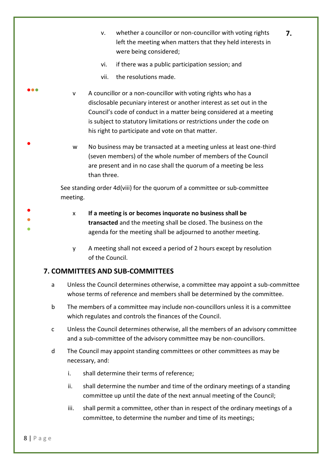v. whether a councillor or non-councillor with voting rights left the meeting when matters that they held interests in were being considered;

**7.**

- vi. if there was a public participation session; and
- vii. the resolutions made.
- v A councillor or a non-councillor with voting rights who has a disclosable pecuniary interest or another interest as set out in the Council's code of conduct in a matter being considered at a meeting is subject to statutory limitations or restrictions under the code on his right to participate and vote on that matter.
	- w No business may be transacted at a meeting unless at least one-third (seven members) of the whole number of members of the Council are present and in no case shall the quorum of a meeting be less than three.

See standing order 4d(viii) for the quorum of a committee or sub-committee meeting.

- ●
- 

●●●

●

- ●
- x **If a meeting is or becomes inquorate no business shall be transacted** and the meeting shall be closed. The business on the agenda for the meeting shall be adjourned to another meeting.
- y A meeting shall not exceed a period of 2 hours except by resolution of the Council.

#### <span id="page-9-0"></span>**7. COMMITTEES AND SUB-COMMITTEES**

- a Unless the Council determines otherwise, a committee may appoint a sub-committee whose terms of reference and members shall be determined by the committee.
- b The members of a committee may include non-councillors unless it is a committee which regulates and controls the finances of the Council.
- c Unless the Council determines otherwise, all the members of an advisory committee and a sub-committee of the advisory committee may be non-councillors.
- d The Council may appoint standing committees or other committees as may be necessary, and:
	- i. shall determine their terms of reference;
	- ii. shall determine the number and time of the ordinary meetings of a standing committee up until the date of the next annual meeting of the Council;
	- iii. shall permit a committee, other than in respect of the ordinary meetings of a committee, to determine the number and time of its meetings;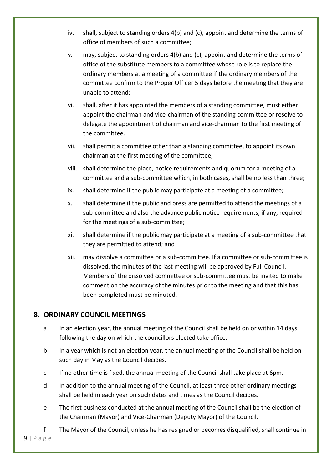- iv. shall, subject to standing orders 4(b) and (c), appoint and determine the terms of office of members of such a committee;
- v. may, subject to standing orders 4(b) and (c), appoint and determine the terms of office of the substitute members to a committee whose role is to replace the ordinary members at a meeting of a committee if the ordinary members of the committee confirm to the Proper Officer 5 days before the meeting that they are unable to attend;
- vi. shall, after it has appointed the members of a standing committee, must either appoint the chairman and vice-chairman of the standing committee or resolve to delegate the appointment of chairman and vice-chairman to the first meeting of the committee.
- vii. shall permit a committee other than a standing committee, to appoint its own chairman at the first meeting of the committee;
- viii. shall determine the place, notice requirements and quorum for a meeting of a committee and a sub-committee which, in both cases, shall be no less than three;
- ix. shall determine if the public may participate at a meeting of a committee;
- x. shall determine if the public and press are permitted to attend the meetings of a sub-committee and also the advance public notice requirements, if any, required for the meetings of a sub-committee;
- xi. shall determine if the public may participate at a meeting of a sub-committee that they are permitted to attend; and
- xii. may dissolve a committee or a sub-committee. If a committee or sub-committee is dissolved, the minutes of the last meeting will be approved by Full Council. Members of the dissolved committee or sub-committee must be invited to make comment on the accuracy of the minutes prior to the meeting and that this has been completed must be minuted.

#### <span id="page-10-0"></span>**8. ORDINARY COUNCIL MEETINGS**

- a In an election year, the annual meeting of the Council shall be held on or within 14 days following the day on which the councillors elected take office.
- b In a year which is not an election year, the annual meeting of the Council shall be held on such day in May as the Council decides.
- c If no other time is fixed, the annual meeting of the Council shall take place at 6pm.
- d In addition to the annual meeting of the Council, at least three other ordinary meetings shall be held in each year on such dates and times as the Council decides.
- e The first business conducted at the annual meeting of the Council shall be the election of the Chairman (Mayor) and Vice-Chairman (Deputy Mayor) of the Council.
- f The Mayor of the Council, unless he has resigned or becomes disqualified, shall continue in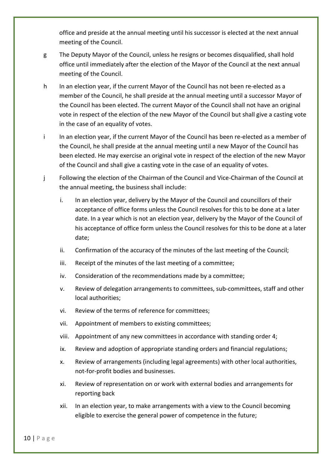office and preside at the annual meeting until his successor is elected at the next annual meeting of the Council.

- g The Deputy Mayor of the Council, unless he resigns or becomes disqualified, shall hold office until immediately after the election of the Mayor of the Council at the next annual meeting of the Council.
- h In an election year, if the current Mayor of the Council has not been re-elected as a member of the Council, he shall preside at the annual meeting until a successor Mayor of the Council has been elected. The current Mayor of the Council shall not have an original vote in respect of the election of the new Mayor of the Council but shall give a casting vote in the case of an equality of votes.
- i In an election year, if the current Mayor of the Council has been re-elected as a member of the Council, he shall preside at the annual meeting until a new Mayor of the Council has been elected. He may exercise an original vote in respect of the election of the new Mayor of the Council and shall give a casting vote in the case of an equality of votes.
- j Following the election of the Chairman of the Council and Vice-Chairman of the Council at the annual meeting, the business shall include:
	- i. In an election year, delivery by the Mayor of the Council and councillors of their acceptance of office forms unless the Council resolves for this to be done at a later date. In a year which is not an election year, delivery by the Mayor of the Council of his acceptance of office form unless the Council resolves for this to be done at a later date;
	- ii. Confirmation of the accuracy of the minutes of the last meeting of the Council;
	- iii. Receipt of the minutes of the last meeting of a committee;
	- iv. Consideration of the recommendations made by a committee;
	- v. Review of delegation arrangements to committees, sub-committees, staff and other local authorities;
	- vi. Review of the terms of reference for committees;
	- vii. Appointment of members to existing committees;
	- viii. Appointment of any new committees in accordance with standing order 4;
	- ix. Review and adoption of appropriate standing orders and financial regulations;
	- x. Review of arrangements (including legal agreements) with other local authorities, not-for-profit bodies and businesses.
	- xi. Review of representation on or work with external bodies and arrangements for reporting back
	- xii. In an election year, to make arrangements with a view to the Council becoming eligible to exercise the general power of competence in the future;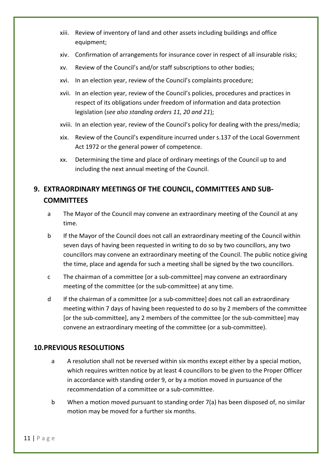- xiii. Review of inventory of land and other assets including buildings and office equipment;
- xiv. Confirmation of arrangements for insurance cover in respect of all insurable risks;
- xv. Review of the Council's and/or staff subscriptions to other bodies;
- xvi. In an election year, review of the Council's complaints procedure;
- xvii. In an election year, review of the Council's policies, procedures and practices in respect of its obligations under freedom of information and data protection legislation (*see also standing orders 11, 20 and 21*);
- xviii. In an election year, review of the Council's policy for dealing with the press/media;
- xix. Review of the Council's expenditure incurred under s.137 of the Local Government Act 1972 or the general power of competence.
- xx. Determining the time and place of ordinary meetings of the Council up to and including the next annual meeting of the Council.

#### <span id="page-12-0"></span>**9. EXTRAORDINARY MEETINGS OF THE COUNCIL, COMMITTEES AND SUB-COMMITTEES**

- a The Mayor of the Council may convene an extraordinary meeting of the Council at any time.
- b If the Mayor of the Council does not call an extraordinary meeting of the Council within seven days of having been requested in writing to do so by two councillors, any two councillors may convene an extraordinary meeting of the Council. The public notice giving the time, place and agenda for such a meeting shall be signed by the two councillors.
- c The chairman of a committee [or a sub-committee] may convene an extraordinary meeting of the committee (or the sub-committee) at any time.
- d If the chairman of a committee [or a sub-committee] does not call an extraordinary meeting within 7 days of having been requested to do so by 2 members of the committee [or the sub-committee], any 2 members of the committee [or the sub-committee] may convene an extraordinary meeting of the committee (or a sub-committee).

#### <span id="page-12-1"></span>**10.PREVIOUS RESOLUTIONS**

- a A resolution shall not be reversed within six months except either by a special motion, which requires written notice by at least 4 councillors to be given to the Proper Officer in accordance with standing order 9, or by a motion moved in pursuance of the recommendation of a committee or a sub-committee.
- b When a motion moved pursuant to standing order 7(a) has been disposed of, no similar motion may be moved for a further six months.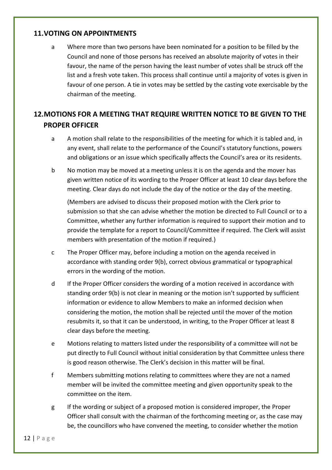#### <span id="page-13-0"></span>**11.VOTING ON APPOINTMENTS**

a Where more than two persons have been nominated for a position to be filled by the Council and none of those persons has received an absolute majority of votes in their favour, the name of the person having the least number of votes shall be struck off the list and a fresh vote taken. This process shall continue until a majority of votes is given in favour of one person. A tie in votes may be settled by the casting vote exercisable by the chairman of the meeting.

#### <span id="page-13-1"></span>**12.MOTIONS FOR A MEETING THAT REQUIRE WRITTEN NOTICE TO BE GIVEN TO THE PROPER OFFICER**

- a A motion shall relate to the responsibilities of the meeting for which it is tabled and, in any event, shall relate to the performance of the Council's statutory functions, powers and obligations or an issue which specifically affects the Council's area or its residents.
- b No motion may be moved at a meeting unless it is on the agenda and the mover has given written notice of its wording to the Proper Officer at least 10 clear days before the meeting. Clear days do not include the day of the notice or the day of the meeting.

(Members are advised to discuss their proposed motion with the Clerk prior to submission so that she can advise whether the motion be directed to Full Council or to a Committee, whether any further information is required to support their motion and to provide the template for a report to Council/Committee if required. The Clerk will assist members with presentation of the motion if required.)

- c The Proper Officer may, before including a motion on the agenda received in accordance with standing order 9(b), correct obvious grammatical or typographical errors in the wording of the motion.
- d If the Proper Officer considers the wording of a motion received in accordance with standing order 9(b) is not clear in meaning or the motion isn't supported by sufficient information or evidence to allow Members to make an informed decision when considering the motion, the motion shall be rejected until the mover of the motion resubmits it, so that it can be understood, in writing, to the Proper Officer at least 8 clear days before the meeting.
- e Motions relating to matters listed under the responsibility of a committee will not be put directly to Full Council without initial consideration by that Committee unless there is good reason otherwise. The Clerk's decision in this matter will be final.
- f Members submitting motions relating to committees where they are not a named member will be invited the committee meeting and given opportunity speak to the committee on the item.
- g If the wording or subject of a proposed motion is considered improper, the Proper Officer shall consult with the chairman of the forthcoming meeting or, as the case may be, the councillors who have convened the meeting, to consider whether the motion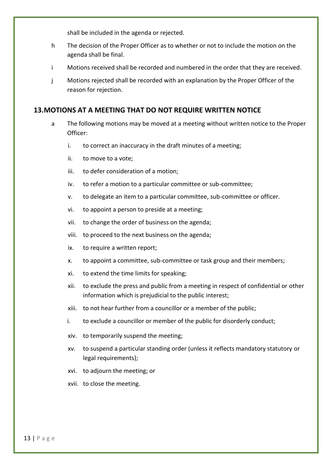shall be included in the agenda or rejected.

- h The decision of the Proper Officer as to whether or not to include the motion on the agenda shall be final.
- i Motions received shall be recorded and numbered in the order that they are received.
- j Motions rejected shall be recorded with an explanation by the Proper Officer of the reason for rejection.

#### <span id="page-14-0"></span>**13.MOTIONS AT A MEETING THAT DO NOT REQUIRE WRITTEN NOTICE**

- a The following motions may be moved at a meeting without written notice to the Proper Officer:
	- i. to correct an inaccuracy in the draft minutes of a meeting;
	- ii. to move to a vote;
	- iii. to defer consideration of a motion;
	- iv. to refer a motion to a particular committee or sub-committee;
	- v. to delegate an item to a particular committee, sub-committee or officer.
	- vi. to appoint a person to preside at a meeting;
	- vii. to change the order of business on the agenda;
	- viii. to proceed to the next business on the agenda;
	- ix. to require a written report;
	- x. to appoint a committee, sub-committee or task group and their members;
	- xi. to extend the time limits for speaking;
	- xii. to exclude the press and public from a meeting in respect of confidential or other information which is prejudicial to the public interest;
	- xiii. to not hear further from a councillor or a member of the public;
	- i. to exclude a councillor or member of the public for disorderly conduct;
	- xiv. to temporarily suspend the meeting;
	- xv. to suspend a particular standing order (unless it reflects mandatory statutory or legal requirements);
	- xvi. to adjourn the meeting; or
	- xvii. to close the meeting.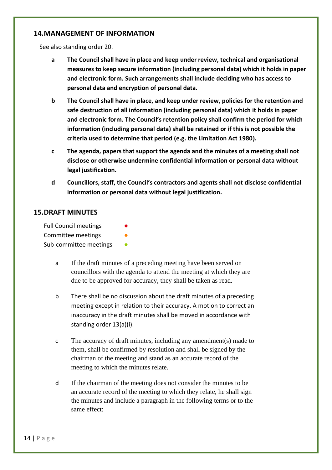#### <span id="page-15-0"></span>**14.MANAGEMENT OF INFORMATION**

See also standing order 20.

- **a The Council shall have in place and keep under review, technical and organisational measures to keep secure information (including personal data) which it holds in paper and electronic form. Such arrangements shall include deciding who has access to personal data and encryption of personal data.**
- **b The Council shall have in place, and keep under review, policies for the retention and safe destruction of all information (including personal data) which it holds in paper and electronic form. The Council's retention policy shall confirm the period for which information (including personal data) shall be retained or if this is not possible the criteria used to determine that period (e.g. the Limitation Act 1980).**
- **c The agenda, papers that support the agenda and the minutes of a meeting shall not disclose or otherwise undermine confidential information or personal data without legal justification.**
- **d Councillors, staff, the Council's contractors and agents shall not disclose confidential information or personal data without legal justification.**

#### <span id="page-15-1"></span>**15.DRAFT MINUTES**

Full Council meetings Committee meetings Sub-committee meetings

- a If the draft minutes of a preceding meeting have been served on councillors with the agenda to attend the meeting at which they are due to be approved for accuracy, they shall be taken as read.
- b There shall be no discussion about the draft minutes of a preceding meeting except in relation to their accuracy. A motion to correct an inaccuracy in the draft minutes shall be moved in accordance with standing order 13(a)(i).
- c The accuracy of draft minutes, including any amendment(s) made to them, shall be confirmed by resolution and shall be signed by the chairman of the meeting and stand as an accurate record of the meeting to which the minutes relate.
- d If the chairman of the meeting does not consider the minutes to be an accurate record of the meeting to which they relate, he shall sign the minutes and include a paragraph in the following terms or to the same effect: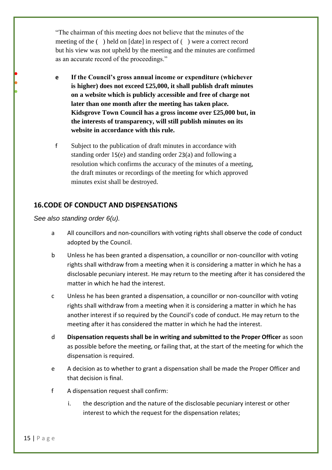"The chairman of this meeting does not believe that the minutes of the meeting of the ( ) held on [date] in respect of ( ) were a correct record but his view was not upheld by the meeting and the minutes are confirmed as an accurate record of the proceedings."

- **e If the Council's gross annual income or expenditure (whichever is higher) does not exceed £25,000, it shall publish draft minutes on a website which is publicly accessible and free of charge not later than one month after the meeting has taken place. Kidsgrove Town Council has a gross income over £25,000 but, in the interests of transparency, will still publish minutes on its website in accordance with this rule.**
- f Subject to the publication of draft minutes in accordance with standing order 15(e) and standing order 23(a) and following a resolution which confirms the accuracy of the minutes of a meeting, the draft minutes or recordings of the meeting for which approved minutes exist shall be destroyed.

#### <span id="page-16-0"></span>**16.CODE OF CONDUCT AND DISPENSATIONS**

*See also standing order 6(u).* 

● ● ●

- a All councillors and non-councillors with voting rights shall observe the code of conduct adopted by the Council.
- b Unless he has been granted a dispensation, a councillor or non-councillor with voting rights shall withdraw from a meeting when it is considering a matter in which he has a disclosable pecuniary interest. He may return to the meeting after it has considered the matter in which he had the interest.
- c Unless he has been granted a dispensation, a councillor or non-councillor with voting rights shall withdraw from a meeting when it is considering a matter in which he has another interest if so required by the Council's code of conduct. He may return to the meeting after it has considered the matter in which he had the interest.
- d **Dispensation requests shall be in writing and submitted to the Proper Officer** as soon as possible before the meeting, or failing that, at the start of the meeting for which the dispensation is required.
- e A decision as to whether to grant a dispensation shall be made the Proper Officer and that decision is final.
- f A dispensation request shall confirm:
	- i. the description and the nature of the disclosable pecuniary interest or other interest to which the request for the dispensation relates;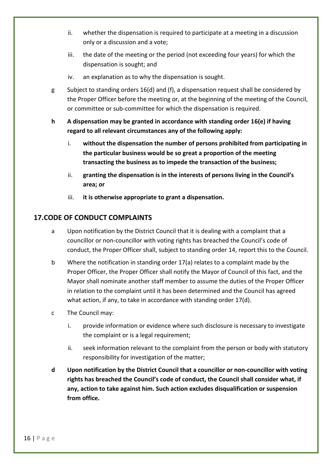- ii. whether the dispensation is required to participate at a meeting in a discussion only or a discussion and a vote;
- iii. the date of the meeting or the period (not exceeding four years) for which the dispensation is sought; and
- iv. an explanation as to why the dispensation is sought.
- g Subject to standing orders 16(d) and (f), a dispensation request shall be considered by the Proper Officer before the meeting or, at the beginning of the meeting of the Council, or committee or sub-committee for which the dispensation is required.
- **h A dispensation may be granted in accordance with standing order 16(e) if having regard to all relevant circumstances any of the following apply:**
	- i. **without the dispensation the number of persons prohibited from participating in the particular business would be so great a proportion of the meeting transacting the business as to impede the transaction of the business;**
	- ii. **granting the dispensation is in the interests of persons living in the Council's area; or**
	- iii. **it is otherwise appropriate to grant a dispensation.**

#### <span id="page-17-0"></span>**17.CODE OF CONDUCT COMPLAINTS**

- a Upon notification by the District Council that it is dealing with a complaint that a councillor or non-councillor with voting rights has breached the Council's code of conduct, the Proper Officer shall, subject to standing order 14, report this to the Council.
- b Where the notification in standing order 17(a) relates to a complaint made by the Proper Officer, the Proper Officer shall notify the Mayor of Council of this fact, and the Mayor shall nominate another staff member to assume the duties of the Proper Officer in relation to the complaint until it has been determined and the Council has agreed what action, if any, to take in accordance with standing order 17(d).
- c The Council may:
	- i. provide information or evidence where such disclosure is necessary to investigate the complaint or is a legal requirement;
	- ii. seek information relevant to the complaint from the person or body with statutory responsibility for investigation of the matter;
- **d Upon notification by the District Council that a councillor or non-councillor with voting rights has breached the Council's code of conduct, the Council shall consider what, if any, action to take against him. Such action excludes disqualification or suspension from office.**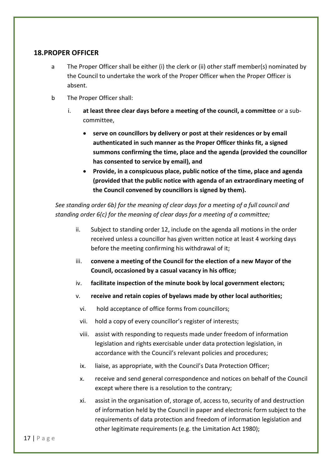#### <span id="page-18-0"></span>**18.PROPER OFFICER**

- a The Proper Officer shall be either (i) the clerk or (ii) other staff member(s) nominated by the Council to undertake the work of the Proper Officer when the Proper Officer is absent.
- b The Proper Officer shall:
	- i. **at least three clear days before a meeting of the council, a committee** or a subcommittee,
		- **serve on councillors by delivery or post at their residences or by email authenticated in such manner as the Proper Officer thinks fit, a signed summons confirming the time, place and the agenda (provided the councillor has consented to service by email), and**
		- **Provide, in a conspicuous place, public notice of the time, place and agenda (provided that the public notice with agenda of an extraordinary meeting of the Council convened by councillors is signed by them).**

*See standing order 6b) for the meaning of clear days for a meeting of a full council and standing order 6(c) for the meaning of clear days for a meeting of a committee;*

- ii. Subject to standing order 12, include on the agenda all motions in the order received unless a councillor has given written notice at least 4 working days before the meeting confirming his withdrawal of it;
- iii. **convene a meeting of the Council for the election of a new Mayor of the Council, occasioned by a casual vacancy in his office;**
- iv. **facilitate inspection of the minute book by local government electors;**
- v. **receive and retain copies of byelaws made by other local authorities;**
	- vi. hold acceptance of office forms from councillors;
	- vii. hold a copy of every councillor's register of interests;
	- viii. assist with responding to requests made under freedom of information legislation and rights exercisable under data protection legislation, in accordance with the Council's relevant policies and procedures;
	- ix. liaise, as appropriate, with the Council's Data Protection Officer;
	- x. receive and send general correspondence and notices on behalf of the Council except where there is a resolution to the contrary;
	- xi. assist in the organisation of, storage of, access to, security of and destruction of information held by the Council in paper and electronic form subject to the requirements of data protection and freedom of information legislation and other legitimate requirements (e.g. the Limitation Act 1980);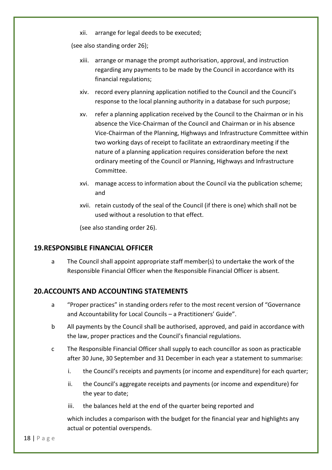xii. arrange for legal deeds to be executed;

(see also standing order 26);

- xiii. arrange or manage the prompt authorisation, approval, and instruction regarding any payments to be made by the Council in accordance with its financial regulations;
- xiv. record every planning application notified to the Council and the Council's response to the local planning authority in a database for such purpose;
- xv. refer a planning application received by the Council to the Chairman or in his absence the Vice-Chairman of the Council and Chairman or in his absence Vice-Chairman of the Planning, Highways and Infrastructure Committee within two working days of receipt to facilitate an extraordinary meeting if the nature of a planning application requires consideration before the next ordinary meeting of the Council or Planning, Highways and Infrastructure Committee.
- xvi. manage access to information about the Council via the publication scheme; and
- xvii. retain custody of the seal of the Council (if there is one) which shall not be used without a resolution to that effect.

(see also standing order 26).

#### <span id="page-19-0"></span>**19.RESPONSIBLE FINANCIAL OFFICER**

a The Council shall appoint appropriate staff member(s) to undertake the work of the Responsible Financial Officer when the Responsible Financial Officer is absent.

#### <span id="page-19-1"></span>**20.ACCOUNTS AND ACCOUNTING STATEMENTS**

- a "Proper practices" in standing orders refer to the most recent version of "Governance and Accountability for Local Councils – a Practitioners' Guide".
- b All payments by the Council shall be authorised, approved, and paid in accordance with the law, proper practices and the Council's financial regulations.
- c The Responsible Financial Officer shall supply to each councillor as soon as practicable after 30 June, 30 September and 31 December in each year a statement to summarise:
	- i. the Council's receipts and payments (or income and expenditure) for each quarter;
	- ii. the Council's aggregate receipts and payments (or income and expenditure) for the year to date;
	- iii. the balances held at the end of the quarter being reported and

which includes a comparison with the budget for the financial year and highlights any actual or potential overspends.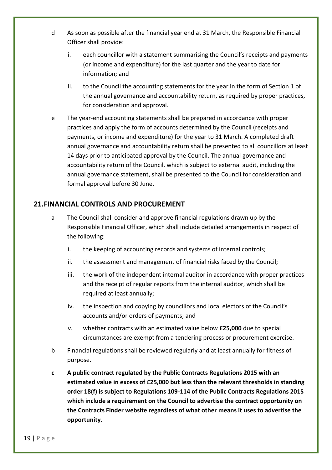- d As soon as possible after the financial year end at 31 March, the Responsible Financial Officer shall provide:
	- i. each councillor with a statement summarising the Council's receipts and payments (or income and expenditure) for the last quarter and the year to date for information; and
	- ii. to the Council the accounting statements for the year in the form of Section 1 of the annual governance and accountability return, as required by proper practices, for consideration and approval.
- e The year-end accounting statements shall be prepared in accordance with proper practices and apply the form of accounts determined by the Council (receipts and payments, or income and expenditure) for the year to 31 March. A completed draft annual governance and accountability return shall be presented to all councillors at least 14 days prior to anticipated approval by the Council. The annual governance and accountability return of the Council, which is subject to external audit, including the annual governance statement, shall be presented to the Council for consideration and formal approval before 30 June.

#### <span id="page-20-0"></span>**21.FINANCIAL CONTROLS AND PROCUREMENT**

- a The Council shall consider and approve financial regulations drawn up by the Responsible Financial Officer, which shall include detailed arrangements in respect of the following:
	- i. the keeping of accounting records and systems of internal controls;
	- ii. the assessment and management of financial risks faced by the Council;
	- iii. the work of the independent internal auditor in accordance with proper practices and the receipt of regular reports from the internal auditor, which shall be required at least annually;
	- iv. the inspection and copying by councillors and local electors of the Council's accounts and/or orders of payments; and
	- v. whether contracts with an estimated value below **£25,000** due to special circumstances are exempt from a tendering process or procurement exercise.
- b Financial regulations shall be reviewed regularly and at least annually for fitness of purpose.
- **c A public contract regulated by the Public Contracts Regulations 2015 with an estimated value in excess of £25,000 but less than the relevant thresholds in standing order 18(f) is subject to Regulations 109-114 of the Public Contracts Regulations 2015 which include a requirement on the Council to advertise the contract opportunity on the Contracts Finder website regardless of what other means it uses to advertise the opportunity.**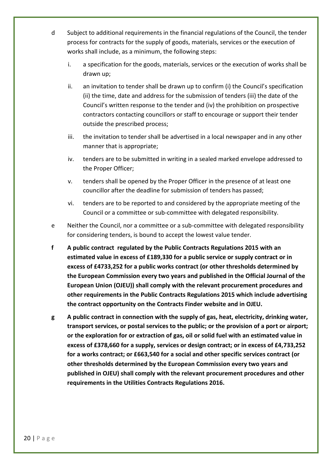- d Subject to additional requirements in the financial regulations of the Council, the tender process for contracts for the supply of goods, materials, services or the execution of works shall include, as a minimum, the following steps:
	- i. a specification for the goods, materials, services or the execution of works shall be drawn up;
	- ii. an invitation to tender shall be drawn up to confirm (i) the Council's specification (ii) the time, date and address for the submission of tenders (iii) the date of the Council's written response to the tender and (iv) the prohibition on prospective contractors contacting councillors or staff to encourage or support their tender outside the prescribed process;
	- iii. the invitation to tender shall be advertised in a local newspaper and in any other manner that is appropriate;
	- iv. tenders are to be submitted in writing in a sealed marked envelope addressed to the Proper Officer;
	- v. tenders shall be opened by the Proper Officer in the presence of at least one councillor after the deadline for submission of tenders has passed;
	- vi. tenders are to be reported to and considered by the appropriate meeting of the Council or a committee or sub-committee with delegated responsibility.
- e Neither the Council, nor a committee or a sub-committee with delegated responsibility for considering tenders, is bound to accept the lowest value tender.
- **f A public contract regulated by the Public Contracts Regulations 2015 with an estimated value in excess of £189,330 for a public service or supply contract or in excess of £4733,252 for a public works contract (or other thresholds determined by the European Commission every two years and published in the Official Journal of the European Union (OJEU)) shall comply with the relevant procurement procedures and other requirements in the Public Contracts Regulations 2015 which include advertising the contract opportunity on the Contracts Finder website and in OJEU.**
- **g A public contract in connection with the supply of gas, heat, electricity, drinking water, transport services, or postal services to the public; or the provision of a port or airport; or the exploration for or extraction of gas, oil or solid fuel with an estimated value in excess of £378,660 for a supply, services or design contract; or in excess of £4,733,252 for a works contract; or £663,540 for a social and other specific services contract (or other thresholds determined by the European Commission every two years and published in OJEU) shall comply with the relevant procurement procedures and other requirements in the Utilities Contracts Regulations 2016.**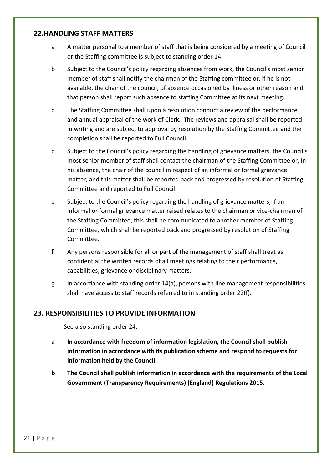#### <span id="page-22-0"></span>**22.HANDLING STAFF MATTERS**

- a A matter personal to a member of staff that is being considered by a meeting of Council or the Staffing committee is subject to standing order 14.
- b Subject to the Council's policy regarding absences from work, the Council's most senior member of staff shall notify the chairman of the Staffing committee or, if he is not available, the chair of the council, of absence occasioned by illness or other reason and that person shall report such absence to staffing Committee at its next meeting.
- c The Staffing Committee shall upon a resolution conduct a review of the performance and annual appraisal of the work of Clerk. The reviews and appraisal shall be reported in writing and are subject to approval by resolution by the Staffing Committee and the completion shall be reported to Full Council.
- d Subject to the Council's policy regarding the handling of grievance matters, the Council's most senior member of staff shall contact the chairman of the Staffing Committee or, in his absence, the chair of the council in respect of an informal or formal grievance matter, and this matter shall be reported back and progressed by resolution of Staffing Committee and reported to Full Council.
- e Subject to the Council's policy regarding the handling of grievance matters, if an informal or formal grievance matter raised relates to the chairman or vice-chairman of the Staffing Committee, this shall be communicated to another member of Staffing Committee, which shall be reported back and progressed by resolution of Staffing Committee.
- f Any persons responsible for all or part of the management of staff shall treat as confidential the written records of all meetings relating to their performance, capabilities, grievance or disciplinary matters.
- g In accordance with standing order 14(a), persons with line management responsibilities shall have access to staff records referred to in standing order 22(f).

#### <span id="page-22-1"></span>**23. RESPONSIBILITIES TO PROVIDE INFORMATION**

See also standing order 24.

- **a In accordance with freedom of information legislation, the Council shall publish information in accordance with its publication scheme and respond to requests for information held by the Council.**
- **b The Council shall publish information in accordance with the requirements of the Local Government (Transparency Requirements) (England) Regulations 2015.**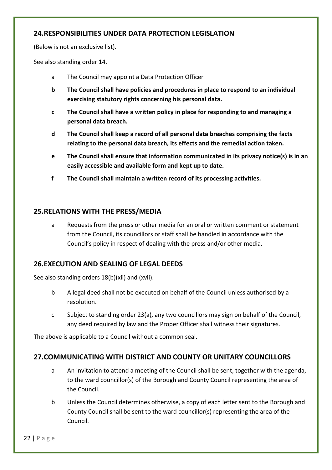#### <span id="page-23-0"></span>**24.RESPONSIBILITIES UNDER DATA PROTECTION LEGISLATION**

(Below is not an exclusive list).

See also standing order 14.

- a The Council may appoint a Data Protection Officer
- **b The Council shall have policies and procedures in place to respond to an individual exercising statutory rights concerning his personal data.**
- **c The Council shall have a written policy in place for responding to and managing a personal data breach.**
- **d The Council shall keep a record of all personal data breaches comprising the facts relating to the personal data breach, its effects and the remedial action taken.**
- **e The Council shall ensure that information communicated in its privacy notice(s) is in an easily accessible and available form and kept up to date.**
- **f The Council shall maintain a written record of its processing activities.**

#### <span id="page-23-1"></span>**25.RELATIONS WITH THE PRESS/MEDIA**

a Requests from the press or other media for an oral or written comment or statement from the Council, its councillors or staff shall be handled in accordance with the Council's policy in respect of dealing with the press and/or other media.

#### <span id="page-23-2"></span>**26.EXECUTION AND SEALING OF LEGAL DEEDS**

See also standing orders 18(b)(xii) and (xvii).

- b A legal deed shall not be executed on behalf of the Council unless authorised by a resolution.
- c Subject to standing order 23(a), any two councillors may sign on behalf of the Council, any deed required by law and the Proper Officer shall witness their signatures.

The above is applicable to a Council without a common seal.

#### <span id="page-23-3"></span>**27.COMMUNICATING WITH DISTRICT AND COUNTY OR UNITARY COUNCILLORS**

- a An invitation to attend a meeting of the Council shall be sent, together with the agenda, to the ward councillor(s) of the Borough and County Council representing the area of the Council.
- b Unless the Council determines otherwise, a copy of each letter sent to the Borough and County Council shall be sent to the ward councillor(s) representing the area of the Council.